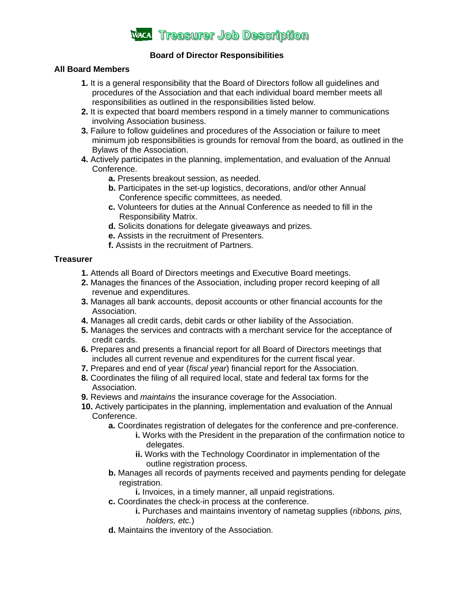

## **Board of Director Responsibilities**

## **All Board Members**

- **1.** It is a general responsibility that the Board of Directors follow all guidelines and procedures of the Association and that each individual board member meets all responsibilities as outlined in the responsibilities listed below.
- **2.** It is expected that board members respond in a timely manner to communications involving Association business.
- **3.** Failure to follow guidelines and procedures of the Association or failure to meet minimum job responsibilities is grounds for removal from the board, as outlined in the Bylaws of the Association.
- **4.** Actively participates in the planning, implementation, and evaluation of the Annual Conference.
	- **a.** Presents breakout session, as needed.
	- **b.** Participates in the set-up logistics, decorations, and/or other Annual Conference specific committees, as needed.
	- **c.** Volunteers for duties at the Annual Conference as needed to fill in the Responsibility Matrix.
	- **d.** Solicits donations for delegate giveaways and prizes.
	- **e.** Assists in the recruitment of Presenters.
	- **f.** Assists in the recruitment of Partners.

## **Treasurer**

- **1.** Attends all Board of Directors meetings and Executive Board meetings.
- **2.** Manages the finances of the Association, including proper record keeping of all revenue and expenditures.
- **3.** Manages all bank accounts, deposit accounts or other financial accounts for the Association.
- **4.** Manages all credit cards, debit cards or other liability of the Association.
- **5.** Manages the services and contracts with a merchant service for the acceptance of credit cards.
- **6.** Prepares and presents a financial report for all Board of Directors meetings that includes all current revenue and expenditures for the current fiscal year.
- **7.** Prepares and end of year (*fiscal year*) financial report for the Association.
- **8.** Coordinates the filing of all required local, state and federal tax forms for the Association.
- **9.** Reviews and *maintains* the insurance coverage for the Association.
- **10.** Actively participates in the planning, implementation and evaluation of the Annual Conference.
	- **a.** Coordinates registration of delegates for the conference and pre-conference.
		- **i.** Works with the President in the preparation of the confirmation notice to delegates.
		- **ii.** Works with the Technology Coordinator in implementation of the outline registration process.
	- **b.** Manages all records of payments received and payments pending for delegate registration.
		- **i.** Invoices, in a timely manner, all unpaid registrations.
	- **c.** Coordinates the check-in process at the conference.
		- **i.** Purchases and maintains inventory of nametag supplies (*ribbons, pins, holders, etc.*)
	- **d.** Maintains the inventory of the Association.